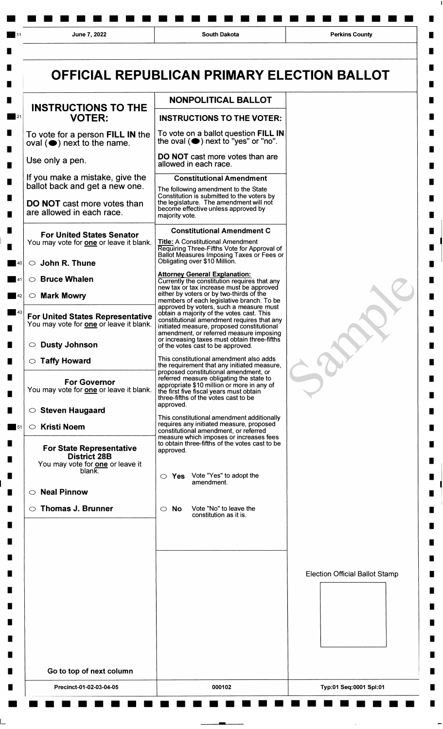|                                                                                                   | OFFICIAL REPUBLICAN PRIMARY ELECTION BALLOT                                                                                                                                                                                     |                                       |
|---------------------------------------------------------------------------------------------------|---------------------------------------------------------------------------------------------------------------------------------------------------------------------------------------------------------------------------------|---------------------------------------|
| <b>INSTRUCTIONS TO THE</b>                                                                        | NONPOLITICAL BALLOT                                                                                                                                                                                                             |                                       |
| <b>VOTER:</b>                                                                                     | <b>INSTRUCTIONS TO THE VOTER:</b>                                                                                                                                                                                               |                                       |
| To vote for a person FILL IN the<br>$oval(\bigcircledbullet)$ next to the name.                   | To vote on a ballot question FILL IN<br>the oval (O) next to "yes" or "no".                                                                                                                                                     |                                       |
| Use only a pen.                                                                                   | <b>DO NOT</b> cast more votes than are<br>allowed in each race.                                                                                                                                                                 |                                       |
| If you make a mistake, give the<br>ballot back and get a new one.                                 | <b>Constitutional Amendment</b><br>The following amendment to the State                                                                                                                                                         |                                       |
| <b>DO NOT</b> cast more votes than<br>are allowed in each race.                                   | Constitution is submitted to the voters by<br>the legislature. The amendment will not<br>become effective unless approved by<br>majority vote.                                                                                  |                                       |
| <b>For United States Senator</b><br>You may vote for one or leave it blank.                       | <b>Constitutional Amendment C</b><br><b>Title: A Constitutional Amendment</b><br>Requiring Three-Fifths Vote for Approval of                                                                                                    |                                       |
| $\circlearrowright$ John R. Thune                                                                 | Ballot Measures Imposing Taxes or Fees or<br>Obligating over \$10 Million.                                                                                                                                                      |                                       |
| $\circ$ Bruce Whalen                                                                              | <b>Attorney General Explanation:</b><br>Currently the constitution requires that any                                                                                                                                            |                                       |
| $\circ$ Mark Mowry                                                                                | new tax or tax increase must be approved<br>either by voters or by two-thirds of the<br>members of each legislative branch. To be                                                                                               |                                       |
| <b>For United States Representative</b><br>You may vote for <b>one</b> or leave it blank.         | approved by voters, such a measure must<br>obtain a majority of the votes cast. This<br>constitutional amendment requires that any<br>initiated measure, proposed constitutional<br>amendment, or referred measure imposing     |                                       |
| <b>Dusty Johnson</b><br>$\circ$                                                                   | or increasing taxes must obtain three-fifths<br>of the votes cast to be approved.                                                                                                                                               |                                       |
| <b>Taffy Howard</b><br>O                                                                          | This constitutional amendment also adds<br>the requirement that any initiated measure,                                                                                                                                          |                                       |
| <b>For Governor</b><br>You may vote for <b>one</b> or leave it blank.                             | proposed constitutional amendment, or<br>referred measure obligating the state to<br>appropriate \$10 million or more in any of<br>the first five fiscal years must obtain<br>three-fifths of the votes cast to be<br>approved. |                                       |
| $\circ$ Steven Haugaard                                                                           | This constitutional amendment additionally                                                                                                                                                                                      |                                       |
| $\circ$ Kristi Noem                                                                               | requires any initiated measure, proposed<br>constitutional amendment, or referred<br>measure which imposes or increases fees<br>to obtain three-fifths of the votes cast to be                                                  |                                       |
| <b>For State Representative</b><br><b>District 28B</b><br>You may vote for <b>one</b> or leave it | approved.                                                                                                                                                                                                                       |                                       |
| blank.                                                                                            | Vote "Yes" to adopt the<br>$\circ$ Yes                                                                                                                                                                                          |                                       |
| $\circ$ Neal Pinnow                                                                               | amendment.                                                                                                                                                                                                                      |                                       |
| <b>Thomas J. Brunner</b>                                                                          | Vote "No" to leave the<br>$\circ$ No<br>constitution as it is.                                                                                                                                                                  |                                       |
|                                                                                                   |                                                                                                                                                                                                                                 |                                       |
|                                                                                                   |                                                                                                                                                                                                                                 |                                       |
|                                                                                                   |                                                                                                                                                                                                                                 |                                       |
|                                                                                                   |                                                                                                                                                                                                                                 | <b>Election Official Ballot Stamp</b> |
|                                                                                                   |                                                                                                                                                                                                                                 |                                       |
|                                                                                                   |                                                                                                                                                                                                                                 |                                       |
|                                                                                                   |                                                                                                                                                                                                                                 |                                       |
|                                                                                                   |                                                                                                                                                                                                                                 |                                       |
| Go to top of next column                                                                          |                                                                                                                                                                                                                                 |                                       |
| Precinct-01-02-03-04-05                                                                           | 000102                                                                                                                                                                                                                          | Typ:01 Seg:0001 Spl:01                |
|                                                                                                   |                                                                                                                                                                                                                                 |                                       |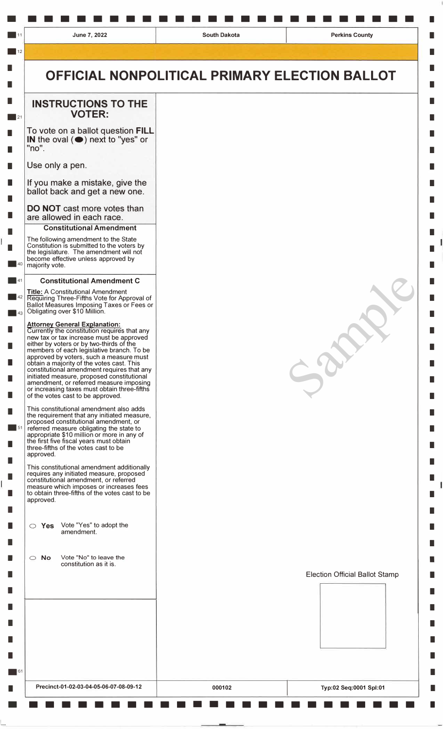•••••••••••••••••••••••• I

# **OFFICIAL NONPOLITICAL PRIMARY ELECTION BALLOT**

## **INSTRUCTIONS TO THE VOTER:**

To vote on a ballot question **FILL** IN the oval  $($   $\bullet)$  next to "yes" or "no".

Use only a pen.

If you make a mistake, give the ballot back and get a new one.

### **DO NOT** cast more votes than are allowed in each race.

#### **Constitutional Amendment**

The following amendment to the State Constitution is submitted to the voters by the legislature. The amendment will not become effective unless approved by majority vote.

#### **Constitutional Amendment C**

**Title:** A Constitutional Amendment Requiring Three-Fifths Vote for Approval of Ballot Measures Imposing Taxes or Fees or Obligating over \$10 Million .

#### **Attorney General Explanation:**  Currently the constitution requires that any new tax or tax increase must be approved either by voters or by two-thirds of the members of each legislative branch. To be approved by voters, such a measure must obtain a majority of the votes cast. This constitutional amendment requires that any initiated measure, proposed constitutional amendment, or referred measure imposing or increasing taxes must obtain three-fifths of the votes cast to be approved.

This constitutional amendment also adds the requirement that any initiated measure, proposed constitutional amendment, or referred measure obligating the state to appropriate \$10 million or more in any of the first five fiscal years must obtain three-fifths of the votes cast to be approved.

This constitutional amendment additionally requires any initiated measure, proposed constitutional amendment, or referred measure which imposes or increases fees to obtain three-fifths of the votes cast to be approved.

|  | $\circ$ Yes Vote "Yes" to adopt the |
|--|-------------------------------------|
|  | amendment.                          |

**O No Vote "No" to leave the**  constitution as it is.



 $-8$